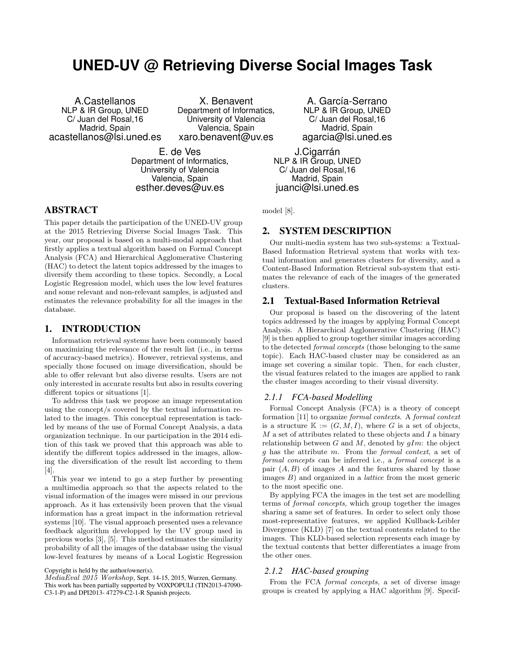# **UNED-UV @ Retrieving Diverse Social Images Task**

A.Castellanos NLP & IR Group, UNED C/ Juan del Rosal,16 Madrid, Spain acastellanos@lsi.uned.es

X. Benavent Department of Informatics, University of Valencia Valencia, Spain xaro.benavent@uv.es

E. de Ves Department of Informatics, University of Valencia Valencia, Spain esther.deves@uv.es

A. García-Serrano NLP & IR Group, UNED C/ Juan del Rosal,16 Madrid, Spain agarcia@lsi.uned.es

J.Cigarrán NLP & IR Group, UNED C/ Juan del Rosal,16 Madrid, Spain juanci@lsi.uned.es

# ABSTRACT

This paper details the participation of the UNED-UV group at the 2015 Retrieving Diverse Social Images Task. This year, our proposal is based on a multi-modal approach that firstly applies a textual algorithm based on Formal Concept Analysis (FCA) and Hierarchical Agglomerative Clustering (HAC) to detect the latent topics addressed by the images to diversify them according to these topics. Secondly, a Local Logistic Regression model, which uses the low level features and some relevant and non-relevant samples, is adjusted and estimates the relevance probability for all the images in the database.

### 1. INTRODUCTION

Information retrieval systems have been commonly based on maximizing the relevance of the result list (i.e., in terms of accuracy-based metrics). However, retrieval systems, and specially those focused on image diversification, should be able to offer relevant but also diverse results. Users are not only interested in accurate results but also in results covering different topics or situations [1].

To address this task we propose an image representation using the concept/s covered by the textual information related to the images. This conceptual representation is tackled by means of the use of Formal Concept Analysis, a data organization technique. In our participation in the 2014 edition of this task we proved that this approach was able to identify the different topics addressed in the images, allowing the diversification of the result list according to them [4].

This year we intend to go a step further by presenting a multimedia approach so that the aspects related to the visual information of the images were missed in our previous approach. As it has extensivily been proven that the visual information has a great impact in the information retrieval systems [10]. The visual approach presented uses a relevance feedback algorithm developped by the UV group used in previous works [3], [5]. This method estimates the similarity probability of all the images of the database using the visual low-level features by means of a Local Logistic Regression

Copyright is held by the author/owner(s).

MediaEval 2015 Workshop, Sept. 14-15, 2015, Wurzen, Germany. This work has been partially supported by VOXPOPULI (TIN2013-47090- C3-1-P) and DPI2013- 47279-C2-1-R Spanish projects.

model [8].

# 2. SYSTEM DESCRIPTION

Our multi-media system has two sub-systems: a Textual-Based Information Retrieval system that works with textual information and generates clusters for diversity, and a Content-Based Information Retrieval sub-system that estimates the relevance of each of the images of the generated clusters.

#### 2.1 Textual-Based Information Retrieval

Our proposal is based on the discovering of the latent topics addressed by the images by applying Formal Concept Analysis. A Hierarchical Agglomerative Clustering (HAC) [9] is then applied to group together similar images according to the detected formal concepts (those belonging to the same topic). Each HAC-based cluster may be considered as an image set covering a similar topic. Then, for each cluster, the visual features related to the images are applied to rank the cluster images according to their visual diversity.

#### *2.1.1 FCA-based Modelling*

Formal Concept Analysis (FCA) is a theory of concept formation [11] to organize formal contexts. A formal context is a structure  $\mathbb{K} := (G, M, I)$ , where G is a set of objects,  $M$  a set of attributes related to these objects and  $I$  a binary relationship between  $G$  and  $M$ , denoted by  $qIm$ : the object g has the attribute m. From the formal context, a set of formal concepts can be inferred i.e., a formal concept is a pair  $(A, B)$  of images A and the features shared by those images  $B$ ) and organized in a *lattice* from the most generic to the most specific one.

By applying FCA the images in the test set are modelling terms of formal concepts, which group together the images sharing a same set of features. In order to select only those most-representative features, we applied Kullback-Leibler Divergence (KLD) [7] on the textual contents related to the images. This KLD-based selection represents each image by the textual contents that better differentiates a image from the other ones.

#### *2.1.2 HAC-based grouping*

From the FCA formal concepts, a set of diverse image groups is created by applying a HAC algorithm [9]. Specif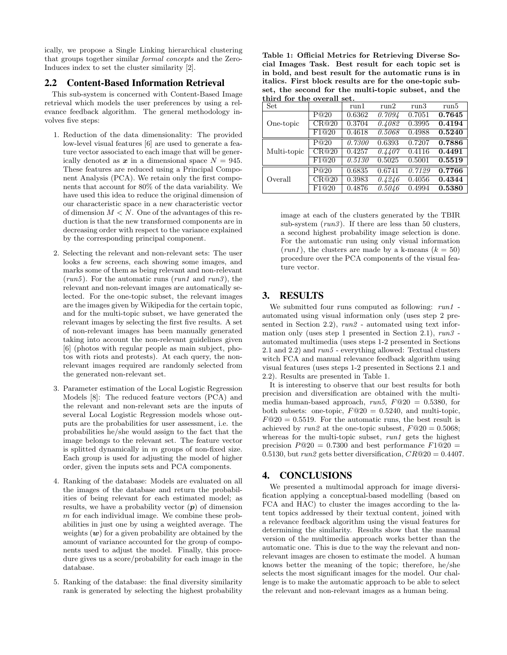ically, we propose a Single Linking hierarchical clustering that groups together similar formal concepts and the Zero-Induces index to set the cluster similarity [2].

## 2.2 Content-Based Information Retrieval

This sub-system is concerned with Content-Based Image retrieval which models the user preferences by using a relevance feedback algorithm. The general methodology involves five steps:

- 1. Reduction of the data dimensionality: The provided low-level visual features [6] are used to generate a feature vector associated to each image that will be generically denoted as x in a dimensional space  $N = 945$ . These features are reduced using a Principal Component Analysis (PCA). We retain only the first components that account for 80% of the data variability. We have used this idea to reduce the original dimension of our characteristic space in a new characteristic vector of dimension  $M < N$ . One of the advantages of this reduction is that the new transformed components are in decreasing order with respect to the variance explained by the corresponding principal component.
- 2. Selecting the relevant and non-relevant sets: The user looks a few screens, each showing some images, and marks some of them as being relevant and non-relevant  $(run5)$ . For the automatic runs  $(run1$  and  $run3)$ , the relevant and non-relevant images are automatically selected. For the one-topic subset, the relevant images are the images given by Wikipedia for the certain topic, and for the multi-topic subset, we have generated the relevant images by selecting the first five results. A set of non-relevant images has been manually generated taking into account the non-relevant guidelines given [6] (photos with regular people as main subject, photos with riots and protests). At each query, the nonrelevant images required are randomly selected from the generated non-relevant set.
- 3. Parameter estimation of the Local Logistic Regression Models [8]: The reduced feature vectors (PCA) and the relevant and non-relevant sets are the inputs of several Local Logistic Regression models whose outputs are the probabilities for user assessment, i.e. the probabilities he/she would assign to the fact that the image belongs to the relevant set. The feature vector is splitted dynamically in  $m$  groups of non-fixed size. Each group is used for adjusting the model of higher order, given the inputs sets and PCA components.
- 4. Ranking of the database: Models are evaluated on all the images of the database and return the probabilities of being relevant for each estimated model; as results, we have a probability vector  $(p)$  of dimension m for each individual image. We combine these probabilities in just one by using a weighted average. The weights  $(w)$  for a given probability are obtained by the amount of variance accounted for the group of components used to adjust the model. Finally, this procedure gives us a score/probability for each image in the database.
- 5. Ranking of the database: the final diversity similarity rank is generated by selecting the highest probability

Table 1: Official Metrics for Retrieving Diverse Social Images Task. Best result for each topic set is in bold, and best result for the automatic runs is in italics. First block results are for the one-topic subset, the second for the multi-topic subset, and the third for the overall set.

| Set         |       | run1   | run2   | run3                | run5   |
|-------------|-------|--------|--------|---------------------|--------|
| One-topic   | P@20  | 0.6362 | 0.7094 | 0.7051              | 0.7645 |
|             | CR@20 | 0.3704 | 0.4082 | 0.3995              | 0.4194 |
|             | F1@20 | 0.4618 | 0.5068 | 0.4988              | 0.5240 |
| Multi-topic | P@20  | 0.7300 | 0.6393 | 0.7207              | 0.7886 |
|             | CR@20 | 0.4257 | 0.4407 | 0.4116              | 0.4491 |
|             | F1@20 | 0.5130 | 0.5025 | 0.5001              | 0.5519 |
| Overall     | P@20  | 0.6835 | 0.6741 | 0.7129              | 0.7766 |
|             | CR@20 | 0.3983 | 0.4246 | 0.4056              | 0.4344 |
|             | F1@20 | 0.4876 | 0.5046 | $0.499\overline{4}$ | 0.5380 |

image at each of the clusters generated by the TBIR sub-system  $(run3)$ . If there are less than 50 clusters, a second highest probability image selection is done. For the automatic run using only visual information  $(run1)$ , the clusters are made by a k-means  $(k = 50)$ procedure over the PCA components of the visual feature vector.

# 3. RESULTS

We submitted four runs computed as following: run1 automated using visual information only (uses step 2 presented in Section 2.2), run2 - automated using text information only (uses step 1 presented in Section 2.1),  $run3$ . automated multimedia (uses steps 1-2 presented in Sections 2.1 and 2.2) and run5 - everything allowed: Textual clusters witch FCA and manual relevance feedback algorithm using visual features (uses steps 1-2 presented in Sections 2.1 and 2.2). Results are presented in Table 1.

It is interesting to observe that our best results for both precision and diversification are obtained with the multimedia human-based approach,  $run5$ ,  $F@20 = 0.5380$ , for both subsets: one-topic,  $F@20 = 0.5240$ , and multi-topic,  $F@20 = 0.5519$ . For the automatic runs, the best result is achieved by run2 at the one-topic subsest,  $F@20 = 0.5068$ ; whereas for the multi-topic subset,  $run1$  gets the highest precision  $P@20 = 0.7300$  and best performance  $F1@20 =$ 0.5130, but run2 gets better diversification,  $CR@20 = 0.4407$ .

# 4. CONCLUSIONS

We presented a multimodal approach for image diversification applying a conceptual-based modelling (based on FCA and HAC) to cluster the images according to the latent topics addressed by their textual content, joined with a relevance feedback algorithm using the visual features for determining the similarity. Results show that the manual version of the multimedia approach works better than the automatic one. This is due to the way the relevant and nonrelevant images are chosen to estimate the model. A human knows better the meaning of the topic; therefore, he/she selects the most significant images for the model. Our challenge is to make the automatic approach to be able to select the relevant and non-relevant images as a human being.